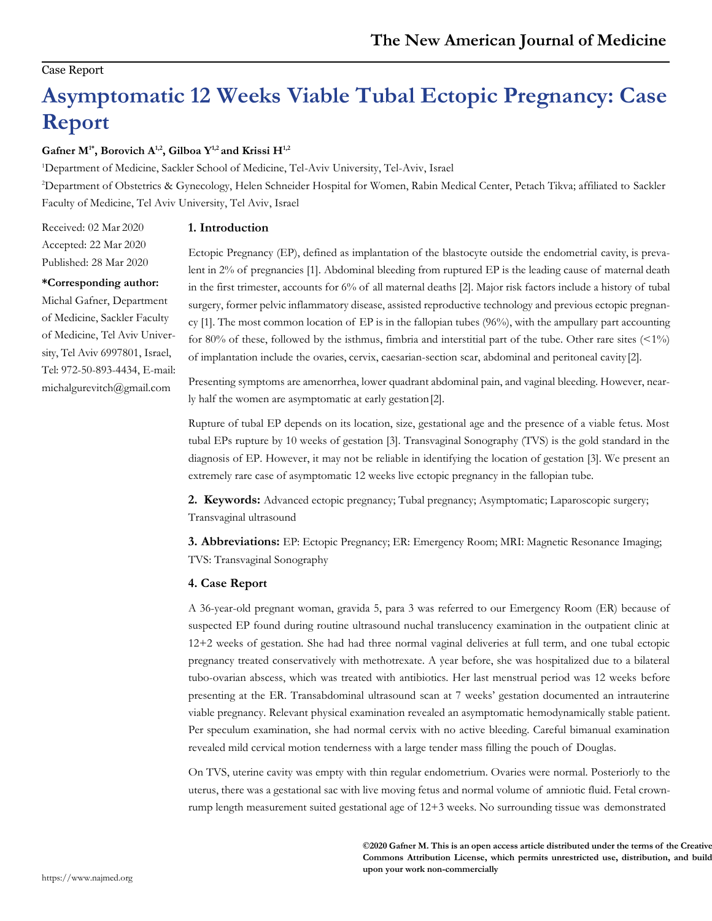# Case Report

# **Asymptomatic 12 Weeks Viable Tubal Ectopic Pregnancy: Case Report**

# **Gafner M1\*, Borovich A1,2, Gilboa Y1,2 and Krissi H1,2**

<sup>1</sup>Department of Medicine, Sackler School of Medicine, Tel-Aviv University, Tel-Aviv, Israel

<sup>2</sup>Department of Obstetrics & Gynecology, Helen Schneider Hospital for Women, Rabin Medical Center, Petach Tikva; affiliated to Sackler Faculty of Medicine, Tel Aviv University, Tel Aviv, Israel

### **1. Introduction**

Received: 02 Mar 2020 Accepted: 22 Mar 2020 Published: 28 Mar 2020

**\*Corresponding author:**  Michal Gafner, Department of Medicine, Sackler Faculty of Medicine, Tel Aviv University, Tel Aviv 6997801, Israel, Tel: 972-50-893-4434, E-mail: [michalgurevitch@gmail.com](mailto:michalgurevitch@gmail.com)

# Ectopic Pregnancy (EP), defined as implantation of the blastocyte outside the endometrial cavity, is prevalent in 2% of pregnancies [1]. Abdominal bleeding from ruptured EP is the leading cause of maternal death in the first trimester, accounts for 6% of all maternal deaths [2]. Major risk factors include a history of tubal surgery, former pelvic inflammatory disease, assisted reproductive technology and previous ectopic pregnancy [1]. The most common location of EP is in the fallopian tubes (96%), with the ampullary part accounting for 80% of these, followed by the isthmus, fimbria and interstitial part of the tube. Other rare sites  $(1\%)$ of implantation include the ovaries, cervix, caesarian-section scar, abdominal and peritoneal cavity [2].

Presenting symptoms are amenorrhea, lower quadrant abdominal pain, and vaginal bleeding. However, nearly half the women are asymptomatic at early gestation[2].

Rupture of tubal EP depends on its location, size, gestational age and the presence of a viable fetus. Most tubal EPs rupture by 10 weeks of gestation [3]. Transvaginal Sonography (TVS) is the gold standard in the diagnosis of EP. However, it may not be reliable in identifying the location of gestation [3]. We present an extremely rare case of asymptomatic 12 weeks live ectopic pregnancy in the fallopian tube.

**2. Keywords:** Advanced ectopic pregnancy; Tubal pregnancy; Asymptomatic; Laparoscopic surgery; Transvaginal ultrasound

**3. Abbreviations:** EP: Ectopic Pregnancy; ER: Emergency Room; MRI: Magnetic Resonance Imaging; TVS: Transvaginal Sonography

# **4. Case Report**

A 36-year-old pregnant woman, gravida 5, para 3 was referred to our Emergency Room (ER) because of suspected EP found during routine ultrasound nuchal translucency examination in the outpatient clinic at 12+2 weeks of gestation. She had had three normal vaginal deliveries at full term, and one tubal ectopic pregnancy treated conservatively with methotrexate. A year before, she was hospitalized due to a bilateral tubo-ovarian abscess, which was treated with antibiotics. Her last menstrual period was 12 weeks before presenting at the ER. Transabdominal ultrasound scan at 7 weeks' gestation documented an intrauterine viable pregnancy. Relevant physical examination revealed an asymptomatic hemodynamically stable patient. Per speculum examination, she had normal cervix with no active bleeding. Careful bimanual examination revealed mild cervical motion tenderness with a large tender mass filling the pouch of Douglas.

On TVS, uterine cavity was empty with thin regular endometrium. Ovaries were normal. Posteriorly to the uterus, there was a gestational sac with live moving fetus and normal volume of amniotic fluid. Fetal crownrump length measurement suited gestational age of 12+3 weeks. No surrounding tissue was demonstrated

> **©2020 Gafner M. This is an open access article distributed under the terms of the Creative Commons Attribution License, which permits unrestricted use, distribution, and build upon your work non-commercially**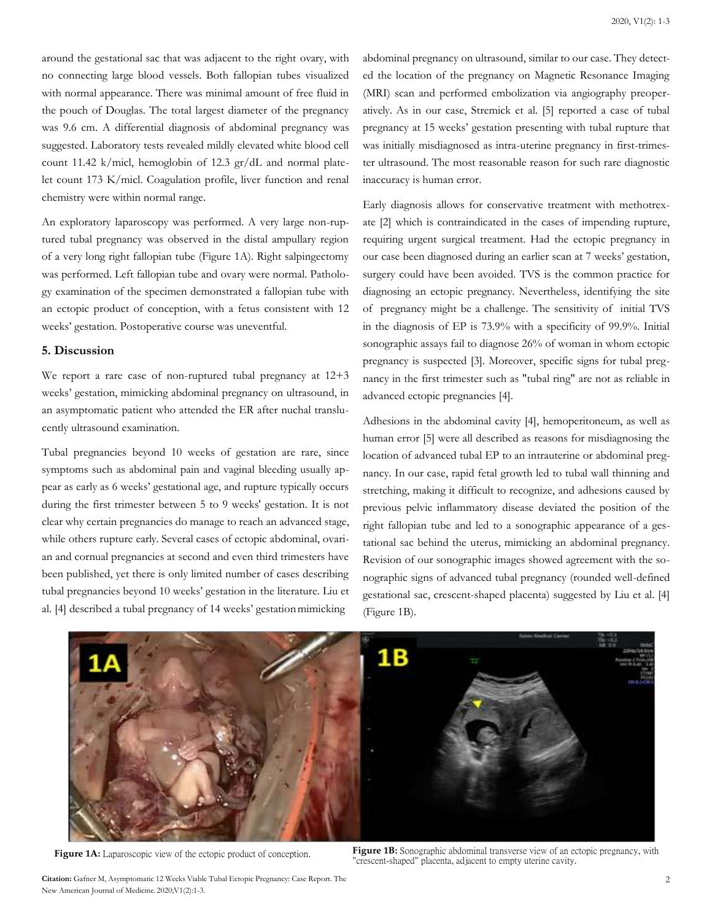around the gestational sac that was adjacent to the right ovary, with no connecting large blood vessels. Both fallopian tubes visualized with normal appearance. There was minimal amount of free fluid in the pouch of Douglas. The total largest diameter of the pregnancy was 9.6 cm. A differential diagnosis of abdominal pregnancy was suggested. Laboratory tests revealed mildly elevated white blood cell count 11.42 k/micl, hemoglobin of 12.3 gr/dL and normal platelet count 173 K/micl. Coagulation profile, liver function and renal chemistry were within normal range.

An exploratory laparoscopy was performed. A very large non-ruptured tubal pregnancy was observed in the distal ampullary region of a very long right fallopian tube (Figure 1A). Right salpingectomy was performed. Left fallopian tube and ovary were normal. Pathology examination of the specimen demonstrated a fallopian tube with an ectopic product of conception, with a fetus consistent with 12 weeks' gestation. Postoperative course was uneventful.

# **5. Discussion**

We report a rare case of non-ruptured tubal pregnancy at 12+3 weeks' gestation, mimicking abdominal pregnancy on ultrasound, in an asymptomatic patient who attended the ER after nuchal translucently ultrasound examination.

Tubal pregnancies beyond 10 weeks of gestation are rare, since symptoms such as abdominal pain and vaginal bleeding usually appear as early as 6 weeks' gestational age, and rupture typically occurs during the first trimester between 5 to 9 weeks' gestation. It is not clear why certain pregnancies do manage to reach an advanced stage, while others rupture early. Several cases of ectopic abdominal, ovarian and cornual pregnancies at second and even third trimesters have been published, yet there is only limited number of cases describing tubal pregnancies beyond 10 weeks' gestation in the literature. Liu et al. [4] described a tubal pregnancy of 14 weeks' gestationmimicking

abdominal pregnancy on ultrasound, similar to our case. They detected the location of the pregnancy on Magnetic Resonance Imaging (MRI) scan and performed embolization via angiography preoperatively. As in our case, Stremick et al. [5] reported a case of tubal pregnancy at 15 weeks' gestation presenting with tubal rupture that was initially misdiagnosed as intra-uterine pregnancy in first-trimester ultrasound. The most reasonable reason for such rare diagnostic inaccuracy is human error.

Early diagnosis allows for conservative treatment with methotrexate [2] which is contraindicated in the cases of impending rupture, requiring urgent surgical treatment. Had the ectopic pregnancy in our case been diagnosed during an earlier scan at 7 weeks' gestation, surgery could have been avoided. TVS is the common practice for diagnosing an ectopic pregnancy. Nevertheless, identifying the site of pregnancy might be a challenge. The sensitivity of initial TVS in the diagnosis of EP is 73.9% with a specificity of 99.9%. Initial sonographic assays fail to diagnose 26% of woman in whom ectopic pregnancy is suspected [3]. Moreover, specific signs for tubal pregnancy in the first trimester such as "tubal ring" are not as reliable in advanced ectopic pregnancies [4].

Adhesions in the abdominal cavity [4], hemoperitoneum, as well as human error [5] were all described as reasons for misdiagnosing the location of advanced tubal EP to an intrauterine or abdominal pregnancy. In our case, rapid fetal growth led to tubal wall thinning and stretching, making it difficult to recognize, and adhesions caused by previous pelvic inflammatory disease deviated the position of the right fallopian tube and led to a sonographic appearance of a gestational sac behind the uterus, mimicking an abdominal pregnancy. Revision of our sonographic images showed agreement with the sonographic signs of advanced tubal pregnancy (rounded well-defined gestational sac, crescent-shaped placenta) suggested by Liu et al. [4] (Figure 1B).



Figure 1A: Laparoscopic view of the ectopic product of conception.

Figure 1B: Sonographic abdominal transverse view of an ectopic pregnancy, with "crescent-shaped" placenta, adjacent to empty uterine cavity.

**Citation:** Gafner M, Asymptomatic 12 Weeks Viable Tubal Ectopic Pregnancy: Case Report. The New American Journal of Medicine. 2020;V1(2):1-3.